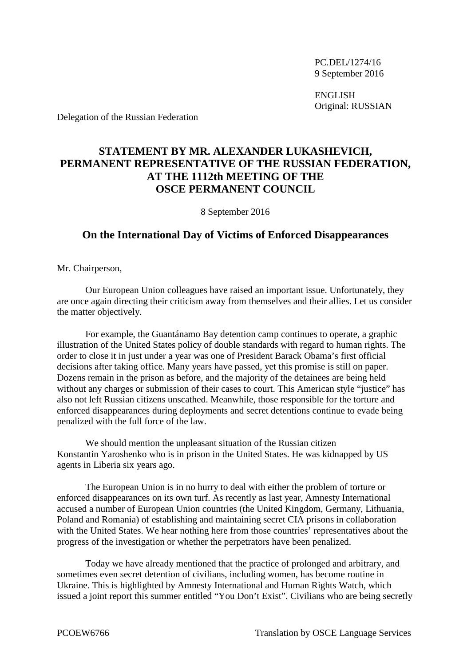PC.DEL/1274/16 9 September 2016

ENGLISH Original: RUSSIAN

Delegation of the Russian Federation

## **STATEMENT BY MR. ALEXANDER LUKASHEVICH, PERMANENT REPRESENTATIVE OF THE RUSSIAN FEDERATION, AT THE 1112th MEETING OF THE OSCE PERMANENT COUNCIL**

8 September 2016

## **On the International Day of Victims of Enforced Disappearances**

Mr. Chairperson,

Our European Union colleagues have raised an important issue. Unfortunately, they are once again directing their criticism away from themselves and their allies. Let us consider the matter objectively.

For example, the Guantánamo Bay detention camp continues to operate, a graphic illustration of the United States policy of double standards with regard to human rights. The order to close it in just under a year was one of President Barack Obama's first official decisions after taking office. Many years have passed, yet this promise is still on paper. Dozens remain in the prison as before, and the majority of the detainees are being held without any charges or submission of their cases to court. This American style "justice" has also not left Russian citizens unscathed. Meanwhile, those responsible for the torture and enforced disappearances during deployments and secret detentions continue to evade being penalized with the full force of the law.

We should mention the unpleasant situation of the Russian citizen Konstantin Yaroshenko who is in prison in the United States. He was kidnapped by US agents in Liberia six years ago.

The European Union is in no hurry to deal with either the problem of torture or enforced disappearances on its own turf. As recently as last year, Amnesty International accused a number of European Union countries (the United Kingdom, Germany, Lithuania, Poland and Romania) of establishing and maintaining secret CIA prisons in collaboration with the United States. We hear nothing here from those countries' representatives about the progress of the investigation or whether the perpetrators have been penalized.

Today we have already mentioned that the practice of prolonged and arbitrary, and sometimes even secret detention of civilians, including women, has become routine in Ukraine. This is highlighted by Amnesty International and Human Rights Watch, which issued a joint report this summer entitled "You Don't Exist". Civilians who are being secretly